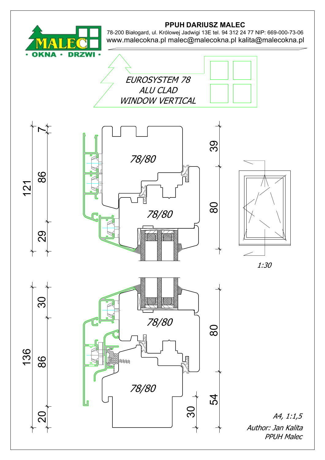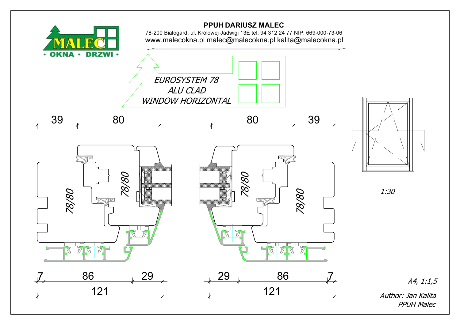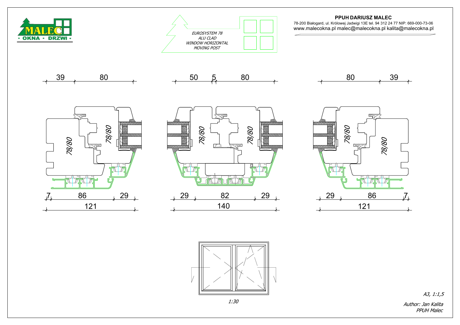PPUH DARIUSZ MALEC

78-200 Białogard, ul. Królowej Jadwigi 13E tel. 94 312 24 77 NIP: 669-000-73-06 www.malecokna.pl malec@malecokna.pl kalita@malecokna.pl











Author: Jan Kalita A3, 1:1,5



PPUH Malec

1:30





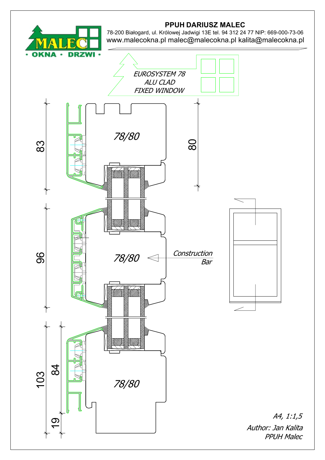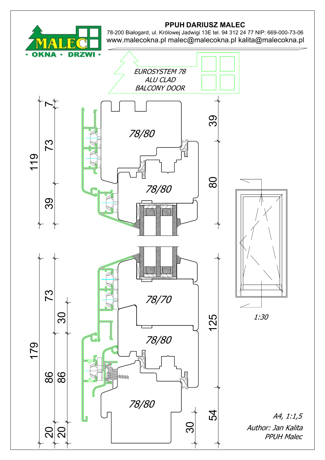

## PPUH DARIUSZ MALEC

78-200 Białogard, ul. Królowej Jadwigi 13E tel. 94 312 24 77 NIP: 669-000-73-06 www.malecokna.pl malec@malecokna.pl kalita@malecokna.pl

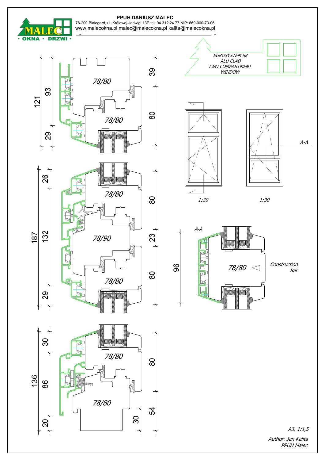

## PPUH DARIUSZ MALEC

Author: Jan Kalita **PPUH Malec** 

78-200 Białogard, ul. Królowej Jadwigi 13E tel. 94 312 24 77 NIP: 669-000-73-06 www.malecokna.pl malec@malecokna.pl kalita@malecokna.pl

A3, 1:1,5